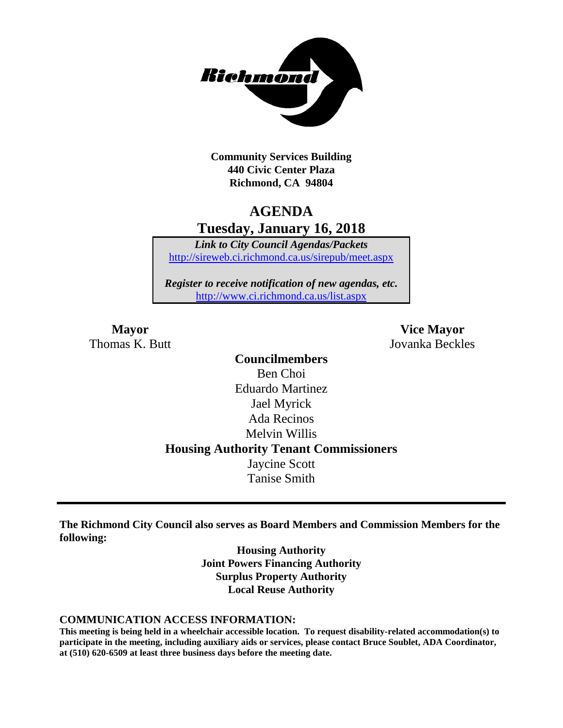

**Community Services Building 440 Civic Center Plaza Richmond, CA 94804**

# **AGENDA Tuesday, January 16, 2018**

*Link to City Council Agendas/Packets* <http://sireweb.ci.richmond.ca.us/sirepub/meet.aspx>

*Register to receive notification of new agendas, etc.* <http://www.ci.richmond.ca.us/list.aspx>

Thomas K. Butt Jovanka Beckles

**Mayor Vice Mayor**

**Councilmembers** Ben Choi Eduardo Martinez Jael Myrick Ada Recinos Melvin Willis **Housing Authority Tenant Commissioners** Jaycine Scott Tanise Smith

**The Richmond City Council also serves as Board Members and Commission Members for the following:**

> **Housing Authority Joint Powers Financing Authority Surplus Property Authority Local Reuse Authority**

#### **COMMUNICATION ACCESS INFORMATION:**

**This meeting is being held in a wheelchair accessible location. To request disability-related accommodation(s) to participate in the meeting, including auxiliary aids or services, please contact Bruce Soublet, ADA Coordinator, at (510) 620-6509 at least three business days before the meeting date.**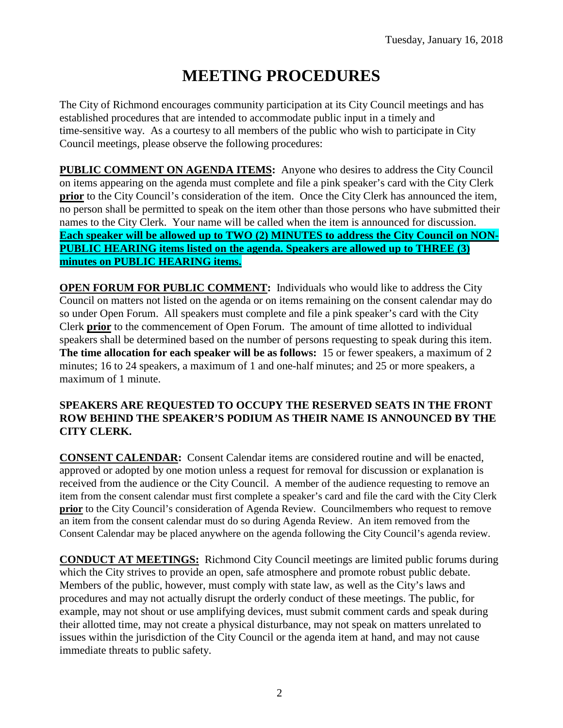# **MEETING PROCEDURES**

The City of Richmond encourages community participation at its City Council meetings and has established procedures that are intended to accommodate public input in a timely and time-sensitive way. As a courtesy to all members of the public who wish to participate in City Council meetings, please observe the following procedures:

**PUBLIC COMMENT ON AGENDA ITEMS:** Anyone who desires to address the City Council on items appearing on the agenda must complete and file a pink speaker's card with the City Clerk **prior** to the City Council's consideration of the item. Once the City Clerk has announced the item, no person shall be permitted to speak on the item other than those persons who have submitted their names to the City Clerk. Your name will be called when the item is announced for discussion. **Each speaker will be allowed up to TWO (2) MINUTES to address the City Council on NON-PUBLIC HEARING items listed on the agenda. Speakers are allowed up to THREE (3) minutes on PUBLIC HEARING items.**

**OPEN FORUM FOR PUBLIC COMMENT:** Individuals who would like to address the City Council on matters not listed on the agenda or on items remaining on the consent calendar may do so under Open Forum. All speakers must complete and file a pink speaker's card with the City Clerk **prior** to the commencement of Open Forum. The amount of time allotted to individual speakers shall be determined based on the number of persons requesting to speak during this item. **The time allocation for each speaker will be as follows:** 15 or fewer speakers, a maximum of 2 minutes; 16 to 24 speakers, a maximum of 1 and one-half minutes; and 25 or more speakers, a maximum of 1 minute.

#### **SPEAKERS ARE REQUESTED TO OCCUPY THE RESERVED SEATS IN THE FRONT ROW BEHIND THE SPEAKER'S PODIUM AS THEIR NAME IS ANNOUNCED BY THE CITY CLERK.**

**CONSENT CALENDAR:** Consent Calendar items are considered routine and will be enacted, approved or adopted by one motion unless a request for removal for discussion or explanation is received from the audience or the City Council. A member of the audience requesting to remove an item from the consent calendar must first complete a speaker's card and file the card with the City Clerk **prior** to the City Council's consideration of Agenda Review. Councilmembers who request to remove an item from the consent calendar must do so during Agenda Review. An item removed from the Consent Calendar may be placed anywhere on the agenda following the City Council's agenda review.

**CONDUCT AT MEETINGS:** Richmond City Council meetings are limited public forums during which the City strives to provide an open, safe atmosphere and promote robust public debate. Members of the public, however, must comply with state law, as well as the City's laws and procedures and may not actually disrupt the orderly conduct of these meetings. The public, for example, may not shout or use amplifying devices, must submit comment cards and speak during their allotted time, may not create a physical disturbance, may not speak on matters unrelated to issues within the jurisdiction of the City Council or the agenda item at hand, and may not cause immediate threats to public safety.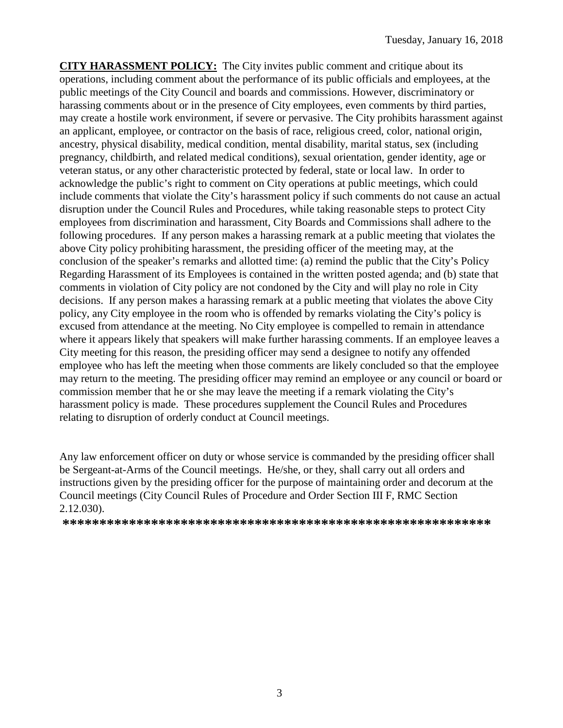**CITY HARASSMENT POLICY:** The City invites public comment and critique about its operations, including comment about the performance of its public officials and employees, at the public meetings of the City Council and boards and commissions. However, discriminatory or harassing comments about or in the presence of City employees, even comments by third parties, may create a hostile work environment, if severe or pervasive. The City prohibits harassment against an applicant, employee, or contractor on the basis of race, religious creed, color, national origin, ancestry, physical disability, medical condition, mental disability, marital status, sex (including pregnancy, childbirth, and related medical conditions), sexual orientation, gender identity, age or veteran status, or any other characteristic protected by federal, state or local law. In order to acknowledge the public's right to comment on City operations at public meetings, which could include comments that violate the City's harassment policy if such comments do not cause an actual disruption under the Council Rules and Procedures, while taking reasonable steps to protect City employees from discrimination and harassment, City Boards and Commissions shall adhere to the following procedures. If any person makes a harassing remark at a public meeting that violates the above City policy prohibiting harassment, the presiding officer of the meeting may, at the conclusion of the speaker's remarks and allotted time: (a) remind the public that the City's Policy Regarding Harassment of its Employees is contained in the written posted agenda; and (b) state that comments in violation of City policy are not condoned by the City and will play no role in City decisions. If any person makes a harassing remark at a public meeting that violates the above City policy, any City employee in the room who is offended by remarks violating the City's policy is excused from attendance at the meeting. No City employee is compelled to remain in attendance where it appears likely that speakers will make further harassing comments. If an employee leaves a City meeting for this reason, the presiding officer may send a designee to notify any offended employee who has left the meeting when those comments are likely concluded so that the employee may return to the meeting. The presiding officer may remind an employee or any council or board or commission member that he or she may leave the meeting if a remark violating the City's harassment policy is made. These procedures supplement the Council Rules and Procedures relating to disruption of orderly conduct at Council meetings.

Any law enforcement officer on duty or whose service is commanded by the presiding officer shall be Sergeant-at-Arms of the Council meetings. He/she, or they, shall carry out all orders and instructions given by the presiding officer for the purpose of maintaining order and decorum at the Council meetings (City Council Rules of Procedure and Order Section III F, RMC Section 2.12.030).

**\*\*\*\*\*\*\*\*\*\*\*\*\*\*\*\*\*\*\*\*\*\*\*\*\*\*\*\*\*\*\*\*\*\*\*\*\*\*\*\*\*\*\*\*\*\*\*\*\*\*\*\*\*\*\*\*\*\***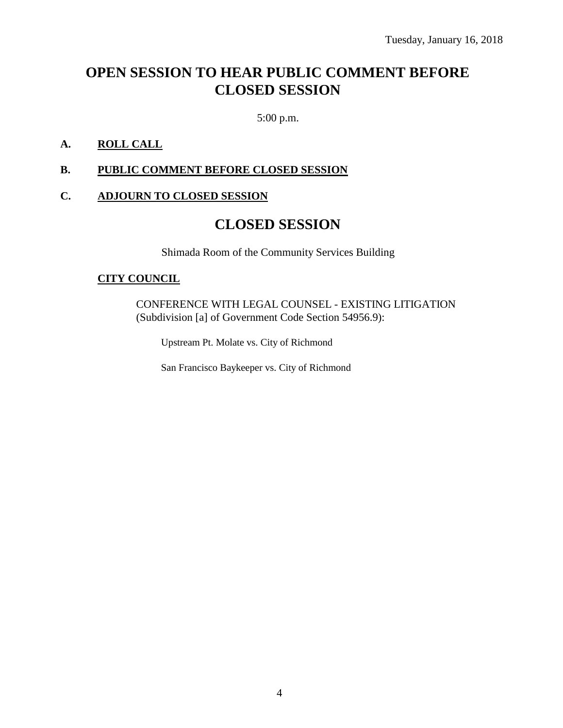# **OPEN SESSION TO HEAR PUBLIC COMMENT BEFORE CLOSED SESSION**

5:00 p.m.

### **A. ROLL CALL**

#### **B. PUBLIC COMMENT BEFORE CLOSED SESSION**

#### **C. ADJOURN TO CLOSED SESSION**

# **CLOSED SESSION**

Shimada Room of the Community Services Building

#### **CITY COUNCIL**

CONFERENCE WITH LEGAL COUNSEL - EXISTING LITIGATION (Subdivision [a] of Government Code Section 54956.9):

Upstream Pt. Molate vs. City of Richmond

San Francisco Baykeeper vs. City of Richmond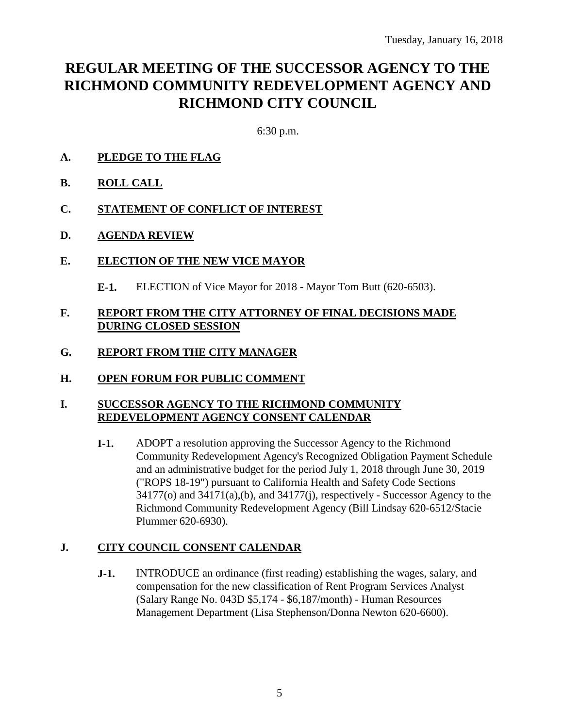# **REGULAR MEETING OF THE SUCCESSOR AGENCY TO THE RICHMOND COMMUNITY REDEVELOPMENT AGENCY AND RICHMOND CITY COUNCIL**

6:30 p.m.

- **A. PLEDGE TO THE FLAG**
- **B. ROLL CALL**
- **C. STATEMENT OF CONFLICT OF INTEREST**
- **D. AGENDA REVIEW**
- **E. ELECTION OF THE NEW VICE MAYOR**
	- **E-1.** ELECTION of Vice Mayor for 2018 Mayor Tom Butt (620-6503).

#### **F. REPORT FROM THE CITY ATTORNEY OF FINAL DECISIONS MADE DURING CLOSED SESSION**

- **G. REPORT FROM THE CITY MANAGER**
- **H. OPEN FORUM FOR PUBLIC COMMENT**

### **I. SUCCESSOR AGENCY TO THE RICHMOND COMMUNITY REDEVELOPMENT AGENCY CONSENT CALENDAR**

**I-1.** ADOPT a resolution approving the Successor Agency to the Richmond Community Redevelopment Agency's Recognized Obligation Payment Schedule and an administrative budget for the period July 1, 2018 through June 30, 2019 ("ROPS 18-19") pursuant to California Health and Safety Code Sections 34177(o) and 34171(a),(b), and 34177(j), respectively - Successor Agency to the Richmond Community Redevelopment Agency (Bill Lindsay 620-6512/Stacie Plummer 620-6930).

## **J. CITY COUNCIL CONSENT CALENDAR**

**J-1.** INTRODUCE an ordinance (first reading) establishing the wages, salary, and compensation for the new classification of Rent Program Services Analyst (Salary Range No. 043D \$5,174 - \$6,187/month) - Human Resources Management Department (Lisa Stephenson/Donna Newton 620-6600).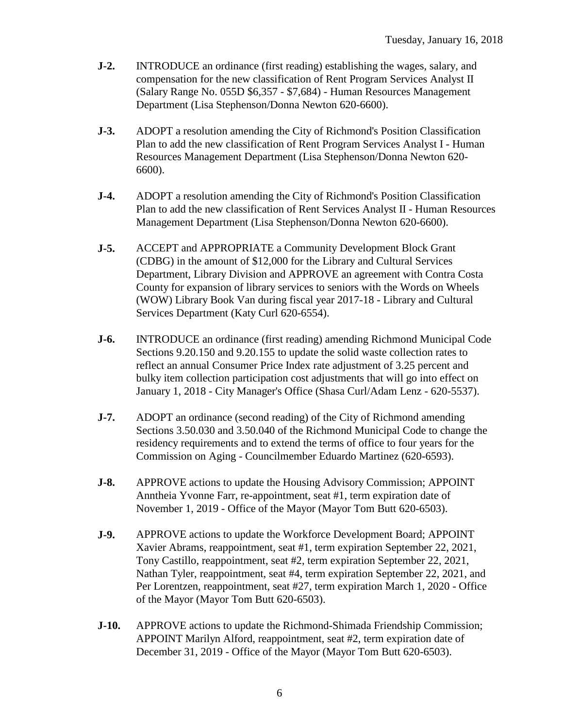- **J-2.** INTRODUCE an ordinance (first reading) establishing the wages, salary, and compensation for the new classification of Rent Program Services Analyst II (Salary Range No. 055D \$6,357 - \$7,684) - Human Resources Management Department (Lisa Stephenson/Donna Newton 620-6600).
- **J-3.** ADOPT a resolution amending the City of Richmond's Position Classification Plan to add the new classification of Rent Program Services Analyst I - Human Resources Management Department (Lisa Stephenson/Donna Newton 620- 6600).
- **J-4.** ADOPT a resolution amending the City of Richmond's Position Classification Plan to add the new classification of Rent Services Analyst II - Human Resources Management Department (Lisa Stephenson/Donna Newton 620-6600).
- **J-5.** ACCEPT and APPROPRIATE a Community Development Block Grant (CDBG) in the amount of \$12,000 for the Library and Cultural Services Department, Library Division and APPROVE an agreement with Contra Costa County for expansion of library services to seniors with the Words on Wheels (WOW) Library Book Van during fiscal year 2017-18 - Library and Cultural Services Department (Katy Curl 620-6554).
- **J-6.** INTRODUCE an ordinance (first reading) amending Richmond Municipal Code Sections 9.20.150 and 9.20.155 to update the solid waste collection rates to reflect an annual Consumer Price Index rate adjustment of 3.25 percent and bulky item collection participation cost adjustments that will go into effect on January 1, 2018 - City Manager's Office (Shasa Curl/Adam Lenz - 620-5537).
- **J-7.** ADOPT an ordinance (second reading) of the City of Richmond amending Sections 3.50.030 and 3.50.040 of the Richmond Municipal Code to change the residency requirements and to extend the terms of office to four years for the Commission on Aging - Councilmember Eduardo Martinez (620-6593).
- **J-8.** APPROVE actions to update the Housing Advisory Commission; APPOINT Anntheia Yvonne Farr, re-appointment, seat #1, term expiration date of November 1, 2019 - Office of the Mayor (Mayor Tom Butt 620-6503).
- **J-9.** APPROVE actions to update the Workforce Development Board; APPOINT Xavier Abrams, reappointment, seat #1, term expiration September 22, 2021, Tony Castillo, reappointment, seat #2, term expiration September 22, 2021, Nathan Tyler, reappointment, seat #4, term expiration September 22, 2021, and Per Lorentzen, reappointment, seat #27, term expiration March 1, 2020 - Office of the Mayor (Mayor Tom Butt 620-6503).
- **J-10.** APPROVE actions to update the Richmond-Shimada Friendship Commission; APPOINT Marilyn Alford, reappointment, seat #2, term expiration date of December 31, 2019 - Office of the Mayor (Mayor Tom Butt 620-6503).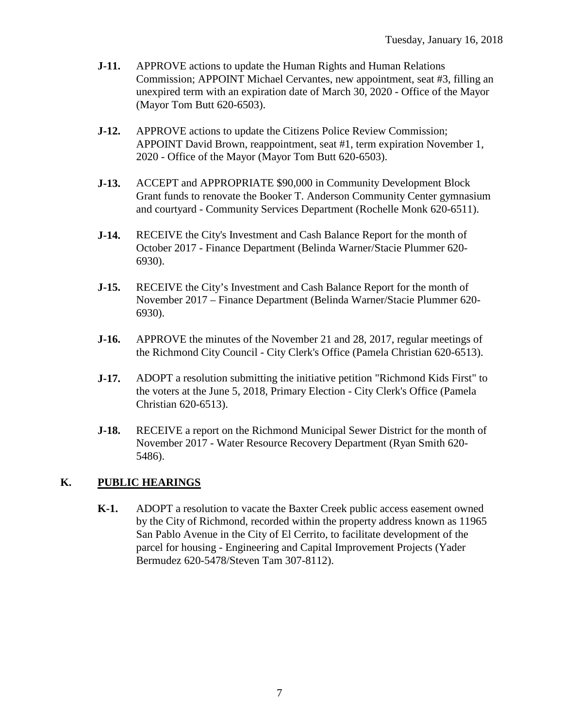- **J-11.** APPROVE actions to update the Human Rights and Human Relations Commission; APPOINT Michael Cervantes, new appointment, seat #3, filling an unexpired term with an expiration date of March 30, 2020 - Office of the Mayor (Mayor Tom Butt 620-6503).
- **J-12.** APPROVE actions to update the Citizens Police Review Commission; APPOINT David Brown, reappointment, seat #1, term expiration November 1, 2020 - Office of the Mayor (Mayor Tom Butt 620-6503).
- **J-13.** ACCEPT and APPROPRIATE \$90,000 in Community Development Block Grant funds to renovate the Booker T. Anderson Community Center gymnasium and courtyard - Community Services Department (Rochelle Monk 620-6511).
- **J-14.** RECEIVE the City's Investment and Cash Balance Report for the month of October 2017 - Finance Department (Belinda Warner/Stacie Plummer 620- 6930).
- **J-15.** RECEIVE the City's Investment and Cash Balance Report for the month of November 2017 – Finance Department (Belinda Warner/Stacie Plummer 620- 6930).
- **J-16.** APPROVE the minutes of the November 21 and 28, 2017, regular meetings of the Richmond City Council - City Clerk's Office (Pamela Christian 620-6513).
- **J-17.** ADOPT a resolution submitting the initiative petition "Richmond Kids First" to the voters at the June 5, 2018, Primary Election - City Clerk's Office (Pamela Christian 620-6513).
- **J-18.** RECEIVE a report on the Richmond Municipal Sewer District for the month of November 2017 - Water Resource Recovery Department (Ryan Smith 620- 5486).

## **K. PUBLIC HEARINGS**

**K-1.** ADOPT a resolution to vacate the Baxter Creek public access easement owned by the City of Richmond, recorded within the property address known as 11965 San Pablo Avenue in the City of El Cerrito, to facilitate development of the parcel for housing - Engineering and Capital Improvement Projects (Yader Bermudez 620-5478/Steven Tam 307-8112).